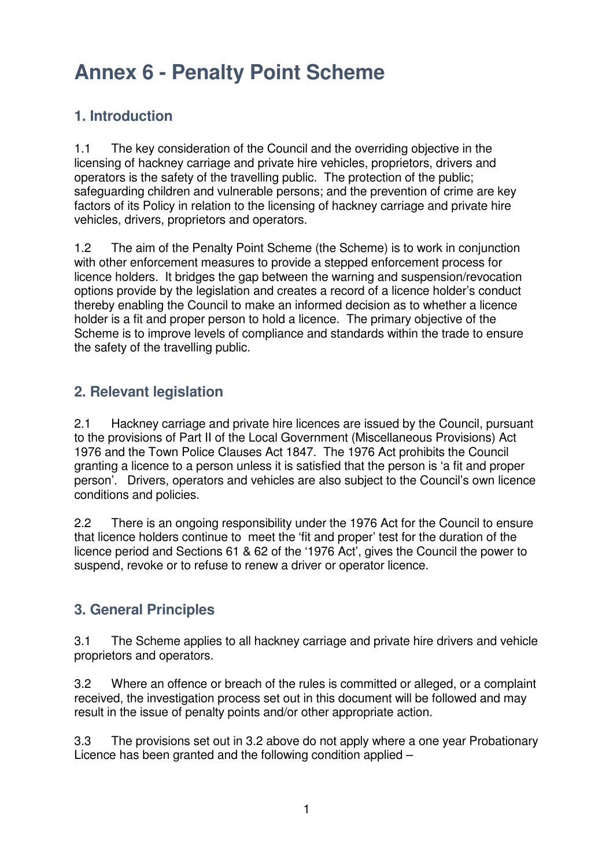#### **1. Introduction**

1.1 The key consideration of the Council and the overriding objective in the licensing of hackney carriage and private hire vehicles, proprietors, drivers and operators is the safety of the travelling public. The protection of the public; safeguarding children and vulnerable persons; and the prevention of crime are key factors of its Policy in relation to the licensing of hackney carriage and private hire vehicles, drivers, proprietors and operators.

1.2 The aim of the Penalty Point Scheme (the Scheme) is to work in conjunction with other enforcement measures to provide a stepped enforcement process for licence holders. It bridges the gap between the warning and suspension/revocation options provide by the legislation and creates a record of a licence holder's conduct thereby enabling the Council to make an informed decision as to whether a licence holder is a fit and proper person to hold a licence. The primary objective of the Scheme is to improve levels of compliance and standards within the trade to ensure the safety of the travelling public.

#### **2. Relevant legislation**

2.1 Hackney carriage and private hire licences are issued by the Council, pursuant to the provisions of Part II of the Local Government (Miscellaneous Provisions) Act 1976 and the Town Police Clauses Act 1847. The 1976 Act prohibits the Council granting a licence to a person unless it is satisfied that the person is 'a fit and proper person'. Drivers, operators and vehicles are also subject to the Council's own licence conditions and policies.

2.2 There is an ongoing responsibility under the 1976 Act for the Council to ensure that licence holders continue to meet the 'fit and proper' test for the duration of the licence period and Sections 61 & 62 of the '1976 Act', gives the Council the power to suspend, revoke or to refuse to renew a driver or operator licence.

### **3. General Principles**

3.1 The Scheme applies to all hackney carriage and private hire drivers and vehicle proprietors and operators.

3.2 Where an offence or breach of the rules is committed or alleged, or a complaint received, the investigation process set out in this document will be followed and may result in the issue of penalty points and/or other appropriate action.

3.3 The provisions set out in 3.2 above do not apply where a one year Probationary Licence has been granted and the following condition applied –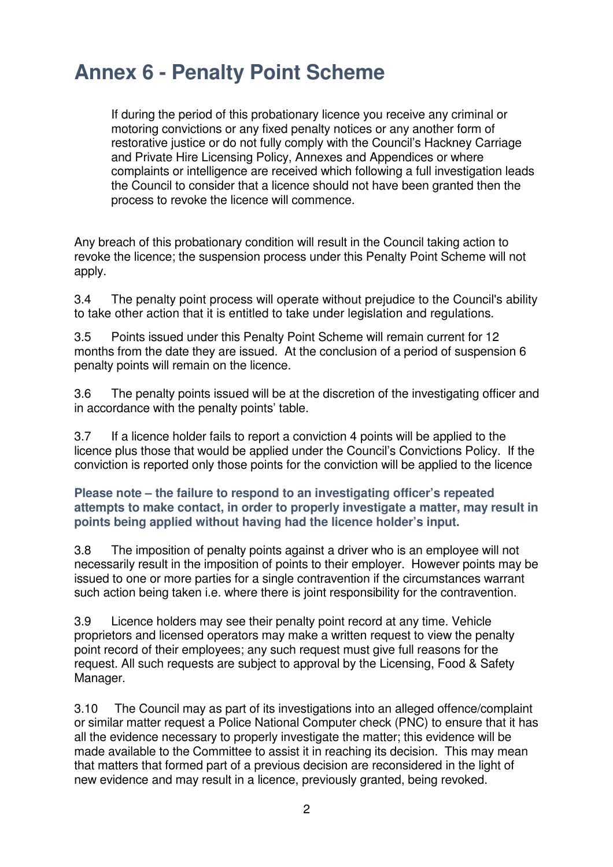If during the period of this probationary licence you receive any criminal or motoring convictions or any fixed penalty notices or any another form of restorative justice or do not fully comply with the Council's Hackney Carriage and Private Hire Licensing Policy, Annexes and Appendices or where complaints or intelligence are received which following a full investigation leads the Council to consider that a licence should not have been granted then the process to revoke the licence will commence.

Any breach of this probationary condition will result in the Council taking action to revoke the licence; the suspension process under this Penalty Point Scheme will not apply.

3.4 The penalty point process will operate without prejudice to the Council's ability to take other action that it is entitled to take under legislation and regulations.

3.5 Points issued under this Penalty Point Scheme will remain current for 12 months from the date they are issued. At the conclusion of a period of suspension 6 penalty points will remain on the licence.

3.6 The penalty points issued will be at the discretion of the investigating officer and in accordance with the penalty points' table.

3.7 If a licence holder fails to report a conviction 4 points will be applied to the licence plus those that would be applied under the Council's Convictions Policy. If the conviction is reported only those points for the conviction will be applied to the licence

#### **Please note – the failure to respond to an investigating officer's repeated attempts to make contact, in order to properly investigate a matter, may result in points being applied without having had the licence holder's input.**

3.8 The imposition of penalty points against a driver who is an employee will not necessarily result in the imposition of points to their employer. However points may be issued to one or more parties for a single contravention if the circumstances warrant such action being taken i.e. where there is joint responsibility for the contravention.

3.9 Licence holders may see their penalty point record at any time. Vehicle proprietors and licensed operators may make a written request to view the penalty point record of their employees; any such request must give full reasons for the request. All such requests are subject to approval by the Licensing, Food & Safety Manager.

3.10 The Council may as part of its investigations into an alleged offence/complaint or similar matter request a Police National Computer check (PNC) to ensure that it has all the evidence necessary to properly investigate the matter; this evidence will be made available to the Committee to assist it in reaching its decision. This may mean that matters that formed part of a previous decision are reconsidered in the light of new evidence and may result in a licence, previously granted, being revoked.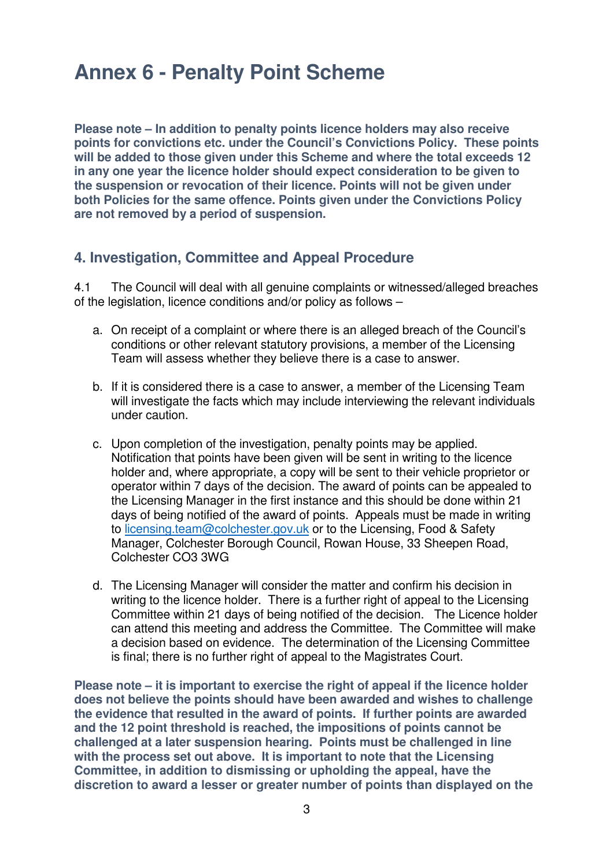**Please note – In addition to penalty points licence holders may also receive points for convictions etc. under the Council's Convictions Policy. These points will be added to those given under this Scheme and where the total exceeds 12 in any one year the licence holder should expect consideration to be given to the suspension or revocation of their licence. Points will not be given under both Policies for the same offence. Points given under the Convictions Policy are not removed by a period of suspension.** 

#### **4. Investigation, Committee and Appeal Procedure**

4.1 The Council will deal with all genuine complaints or witnessed/alleged breaches of the legislation, licence conditions and/or policy as follows –

- a. On receipt of a complaint or where there is an alleged breach of the Council's conditions or other relevant statutory provisions, a member of the Licensing Team will assess whether they believe there is a case to answer.
- b. If it is considered there is a case to answer, a member of the Licensing Team will investigate the facts which may include interviewing the relevant individuals under caution.
- c. Upon completion of the investigation, penalty points may be applied. Notification that points have been given will be sent in writing to the licence holder and, where appropriate, a copy will be sent to their vehicle proprietor or operator within 7 days of the decision. The award of points can be appealed to the Licensing Manager in the first instance and this should be done within 21 days of being notified of the award of points. Appeals must be made in writing to licensing.team@colchester.gov.uk or to the Licensing, Food & Safety Manager, Colchester Borough Council, Rowan House, 33 Sheepen Road, Colchester CO3 3WG
- d. The Licensing Manager will consider the matter and confirm his decision in writing to the licence holder. There is a further right of appeal to the Licensing Committee within 21 days of being notified of the decision. The Licence holder can attend this meeting and address the Committee. The Committee will make a decision based on evidence. The determination of the Licensing Committee is final; there is no further right of appeal to the Magistrates Court.

**Please note – it is important to exercise the right of appeal if the licence holder does not believe the points should have been awarded and wishes to challenge the evidence that resulted in the award of points. If further points are awarded and the 12 point threshold is reached, the impositions of points cannot be challenged at a later suspension hearing. Points must be challenged in line with the process set out above. It is important to note that the Licensing Committee, in addition to dismissing or upholding the appeal, have the discretion to award a lesser or greater number of points than displayed on the**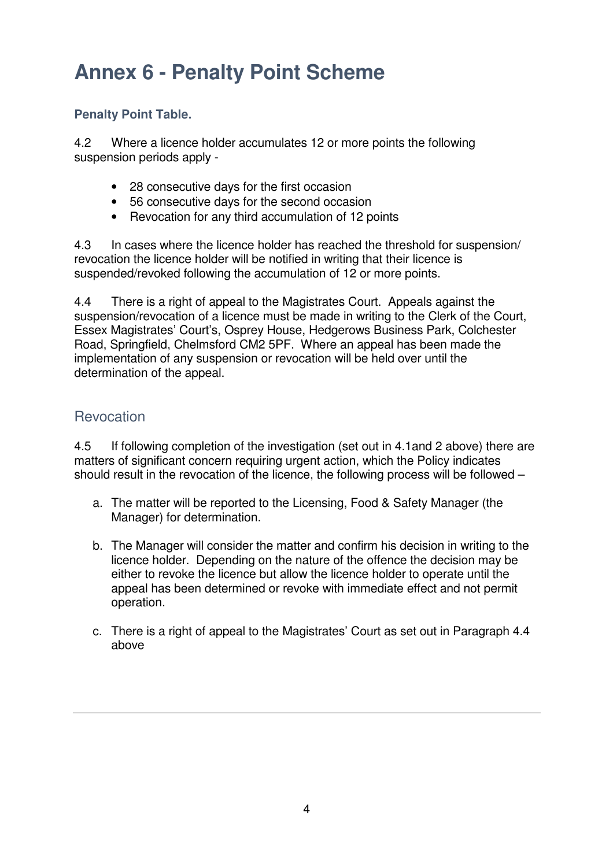#### **Penalty Point Table.**

4.2 Where a licence holder accumulates 12 or more points the following suspension periods apply -

- 28 consecutive days for the first occasion
- 56 consecutive days for the second occasion
- Revocation for any third accumulation of 12 points

4.3 In cases where the licence holder has reached the threshold for suspension/ revocation the licence holder will be notified in writing that their licence is suspended/revoked following the accumulation of 12 or more points.

4.4 There is a right of appeal to the Magistrates Court. Appeals against the suspension/revocation of a licence must be made in writing to the Clerk of the Court, Essex Magistrates' Court's, Osprey House, Hedgerows Business Park, Colchester Road, Springfield, Chelmsford CM2 5PF. Where an appeal has been made the implementation of any suspension or revocation will be held over until the determination of the appeal.

#### **Revocation**

4.5 If following completion of the investigation (set out in 4.1and 2 above) there are matters of significant concern requiring urgent action, which the Policy indicates should result in the revocation of the licence, the following process will be followed –

- a. The matter will be reported to the Licensing, Food & Safety Manager (the Manager) for determination.
- b. The Manager will consider the matter and confirm his decision in writing to the licence holder. Depending on the nature of the offence the decision may be either to revoke the licence but allow the licence holder to operate until the appeal has been determined or revoke with immediate effect and not permit operation.
- c. There is a right of appeal to the Magistrates' Court as set out in Paragraph 4.4 above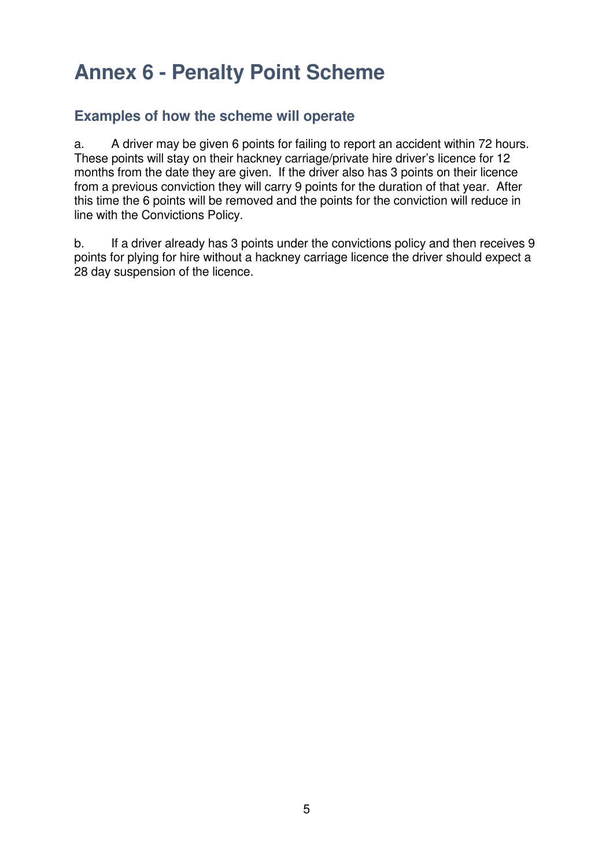#### **Examples of how the scheme will operate**

a. A driver may be given 6 points for failing to report an accident within 72 hours. These points will stay on their hackney carriage/private hire driver's licence for 12 months from the date they are given. If the driver also has 3 points on their licence from a previous conviction they will carry 9 points for the duration of that year. After this time the 6 points will be removed and the points for the conviction will reduce in line with the Convictions Policy.

b. If a driver already has 3 points under the convictions policy and then receives 9 points for plying for hire without a hackney carriage licence the driver should expect a 28 day suspension of the licence.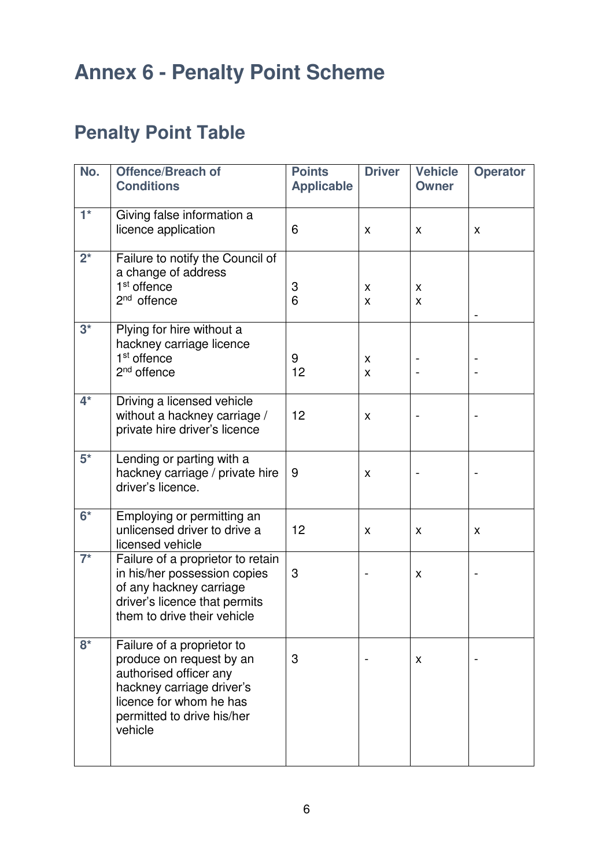### **Penalty Point Table**

| No.         | <b>Offence/Breach of</b><br><b>Conditions</b>                                                                                                                                     | <b>Points</b><br><b>Applicable</b> | <b>Driver</b> | <b>Vehicle</b><br><b>Owner</b> | <b>Operator</b> |
|-------------|-----------------------------------------------------------------------------------------------------------------------------------------------------------------------------------|------------------------------------|---------------|--------------------------------|-----------------|
| $1^*$       | Giving false information a<br>licence application                                                                                                                                 | 6                                  | X             | x                              | X               |
| $2^{\star}$ | Failure to notify the Council of<br>a change of address<br>1 <sup>st</sup> offence<br>$2nd$ offence                                                                               | 3<br>6                             | X<br>X        | X<br>X                         |                 |
| $3^*$       | Plying for hire without a<br>hackney carriage licence<br>1 <sup>st</sup> offence<br>2 <sup>nd</sup> offence                                                                       | 9<br>12                            | X<br>X        |                                |                 |
| $4^*$       | Driving a licensed vehicle<br>without a hackney carriage /<br>private hire driver's licence                                                                                       | 12                                 | X             |                                |                 |
| $5^*$       | Lending or parting with a<br>hackney carriage / private hire<br>driver's licence.                                                                                                 | 9                                  | X             |                                |                 |
| $6*$        | Employing or permitting an<br>unlicensed driver to drive a<br>licensed vehicle                                                                                                    | 12                                 | X             | X                              | X               |
| $7^*$       | Failure of a proprietor to retain<br>in his/her possession copies<br>of any hackney carriage<br>driver's licence that permits<br>them to drive their vehicle                      | 3                                  |               | X                              |                 |
| $8*$        | Failure of a proprietor to<br>produce on request by an<br>authorised officer any<br>hackney carriage driver's<br>licence for whom he has<br>permitted to drive his/her<br>vehicle | 3                                  |               | X                              |                 |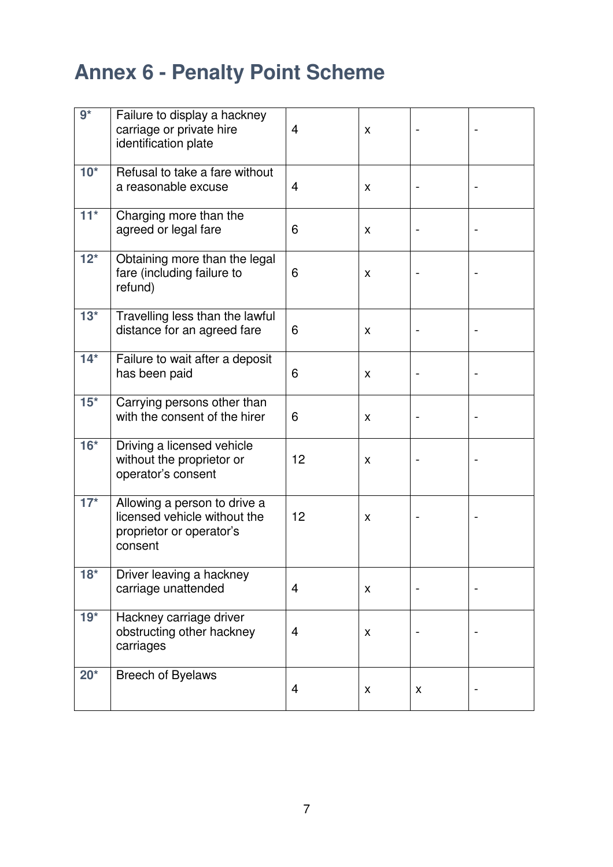| $9*$  | Failure to display a hackney<br>carriage or private hire<br>identification plate                    | $\overline{4}$ | X |   |  |
|-------|-----------------------------------------------------------------------------------------------------|----------------|---|---|--|
| $10*$ | Refusal to take a fare without<br>a reasonable excuse                                               | $\overline{4}$ | X |   |  |
| $11*$ | Charging more than the<br>agreed or legal fare                                                      | 6              | X |   |  |
| $12*$ | Obtaining more than the legal<br>fare (including failure to<br>refund)                              | 6              | X |   |  |
| $13*$ | Travelling less than the lawful<br>distance for an agreed fare                                      | 6              | X |   |  |
| $14*$ | Failure to wait after a deposit<br>has been paid                                                    | 6              | X |   |  |
| $15*$ | Carrying persons other than<br>with the consent of the hirer                                        | 6              | X |   |  |
| $16*$ | Driving a licensed vehicle<br>without the proprietor or<br>operator's consent                       | 12             | X |   |  |
| $17*$ | Allowing a person to drive a<br>licensed vehicle without the<br>proprietor or operator's<br>consent | 12             | X |   |  |
| $18*$ | Driver leaving a hackney<br>carriage unattended                                                     | $\overline{4}$ | X |   |  |
| $19*$ | Hackney carriage driver<br>obstructing other hackney<br>carriages                                   | 4              | X |   |  |
| $20*$ | <b>Breech of Byelaws</b>                                                                            | 4              | X | X |  |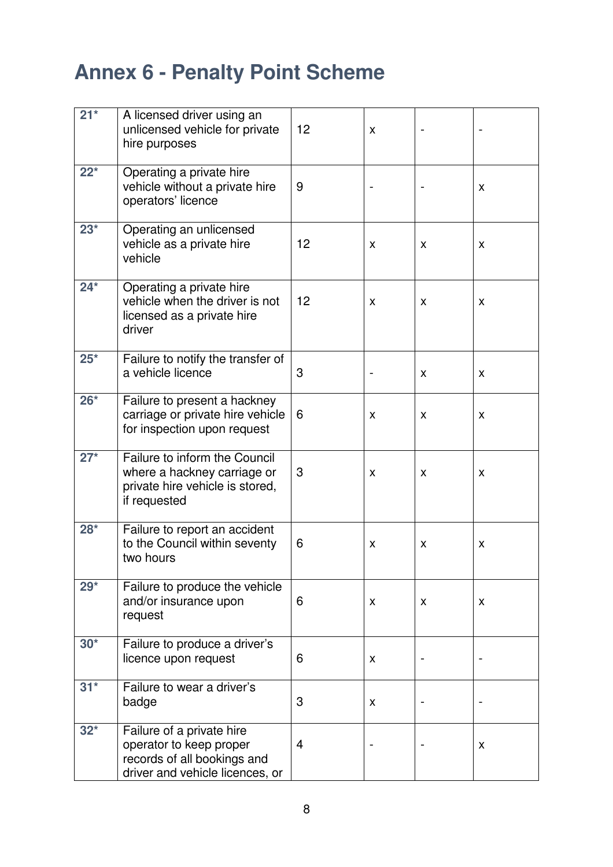| $21*$ | A licensed driver using an<br>unlicensed vehicle for private<br>hire purposes                                          | 12 | X |    |    |
|-------|------------------------------------------------------------------------------------------------------------------------|----|---|----|----|
| $22*$ | Operating a private hire<br>vehicle without a private hire<br>operators' licence                                       | 9  |   |    | X  |
| $23*$ | Operating an unlicensed<br>vehicle as a private hire<br>vehicle                                                        | 12 | X | X  | X  |
| $24*$ | Operating a private hire<br>vehicle when the driver is not<br>licensed as a private hire<br>driver                     | 12 | X | X  | X  |
| $25*$ | Failure to notify the transfer of<br>a vehicle licence                                                                 | 3  |   | X  | X  |
| $26*$ | Failure to present a hackney<br>carriage or private hire vehicle<br>for inspection upon request                        | 6  | X | X  | X  |
| $27*$ | Failure to inform the Council<br>where a hackney carriage or<br>private hire vehicle is stored,<br>if requested        | 3  | X | X  | X  |
| $28*$ | Failure to report an accident<br>to the Council within seventy<br>two hours                                            | 6  | X | X  | x  |
| $29*$ | Failure to produce the vehicle<br>and/or insurance upon<br>request                                                     | 6  | X | X. | X. |
| $30*$ | Failure to produce a driver's<br>licence upon request                                                                  | 6  | X |    |    |
| $31*$ | Failure to wear a driver's<br>badge                                                                                    | 3  | X |    |    |
| $32*$ | Failure of a private hire<br>operator to keep proper<br>records of all bookings and<br>driver and vehicle licences, or | 4  |   |    | X  |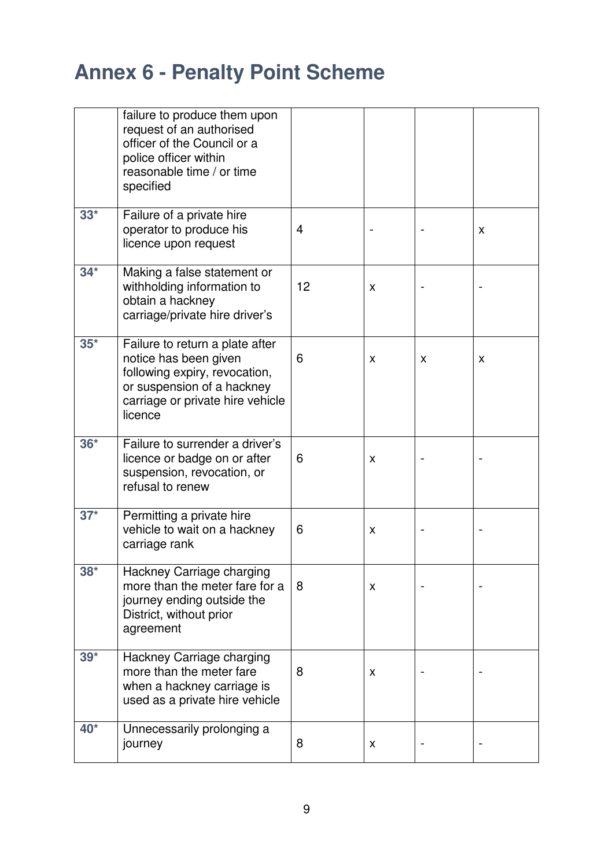|       | failure to produce them upon<br>request of an authorised<br>officer of the Council or a<br>police officer within<br>reasonable time / or time<br>specified             |    |   |   |   |
|-------|------------------------------------------------------------------------------------------------------------------------------------------------------------------------|----|---|---|---|
| $33*$ | Failure of a private hire<br>operator to produce his<br>licence upon request                                                                                           | 4  |   |   | X |
| $34*$ | Making a false statement or<br>withholding information to<br>obtain a hackney<br>carriage/private hire driver's                                                        | 12 | X |   |   |
| $35*$ | Failure to return a plate after<br>notice has been given<br>following expiry, revocation,<br>or suspension of a hackney<br>carriage or private hire vehicle<br>licence | 6  | X | X | X |
| $36*$ | Failure to surrender a driver's<br>licence or badge on or after<br>suspension, revocation, or<br>refusal to renew                                                      | 6  | X |   |   |
| $37*$ | Permitting a private hire<br>vehicle to wait on a hackney<br>carriage rank                                                                                             | 6  | X |   |   |
| $38*$ | Hackney Carriage charging<br>more than the meter fare for a<br>journey ending outside the<br>District, without prior<br>agreement                                      | 8  | X |   |   |
| $39*$ | Hackney Carriage charging<br>more than the meter fare<br>when a hackney carriage is<br>used as a private hire vehicle                                                  | 8  | X |   |   |
| 40*   | Unnecessarily prolonging a<br>journey                                                                                                                                  | 8  | X |   |   |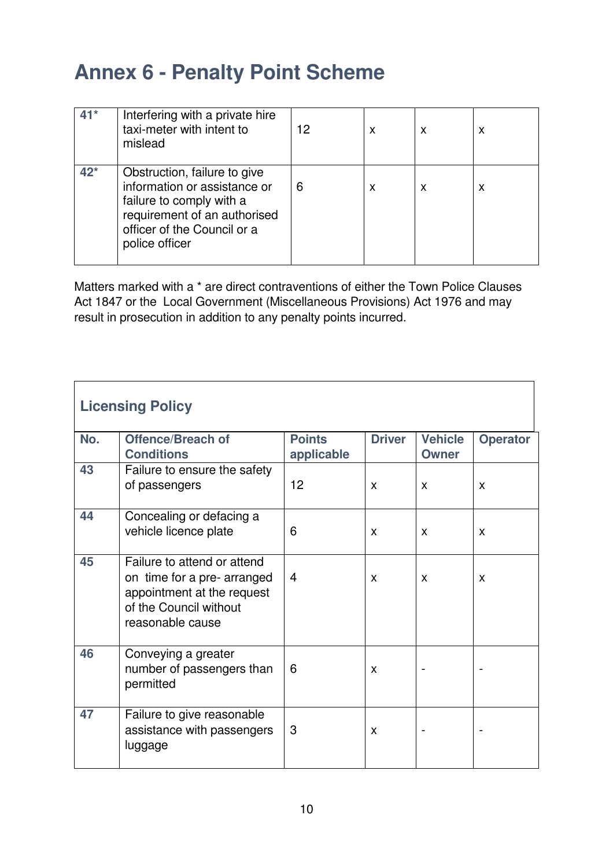|       | Interfering with a private hire<br>taxi-meter with intent to<br>mislead                                                                                                   | 12 | x | X | x |
|-------|---------------------------------------------------------------------------------------------------------------------------------------------------------------------------|----|---|---|---|
| $42*$ | Obstruction, failure to give<br>information or assistance or<br>failure to comply with a<br>requirement of an authorised<br>officer of the Council or a<br>police officer | 6  | х | x | x |

Matters marked with a \* are direct contraventions of either the Town Police Clauses Act 1847 or the Local Government (Miscellaneous Provisions) Act 1976 and may result in prosecution in addition to any penalty points incurred.

| <b>Licensing Policy</b> |                                                                                                                                        |                             |               |                                |                 |  |  |
|-------------------------|----------------------------------------------------------------------------------------------------------------------------------------|-----------------------------|---------------|--------------------------------|-----------------|--|--|
| No.                     | <b>Offence/Breach of</b><br><b>Conditions</b>                                                                                          | <b>Points</b><br>applicable | <b>Driver</b> | <b>Vehicle</b><br><b>Owner</b> | <b>Operator</b> |  |  |
| 43                      | Failure to ensure the safety<br>of passengers                                                                                          | 12                          | X             | X                              | X               |  |  |
| 44                      | Concealing or defacing a<br>vehicle licence plate                                                                                      | 6                           | X             | X                              | X               |  |  |
| 45                      | Failure to attend or attend<br>on time for a pre- arranged<br>appointment at the request<br>of the Council without<br>reasonable cause | $\overline{4}$              | X             | X                              | X               |  |  |
| 46                      | Conveying a greater<br>number of passengers than<br>permitted                                                                          | 6                           | X             |                                |                 |  |  |
| 47                      | Failure to give reasonable<br>assistance with passengers<br>luggage                                                                    | 3                           | X             |                                |                 |  |  |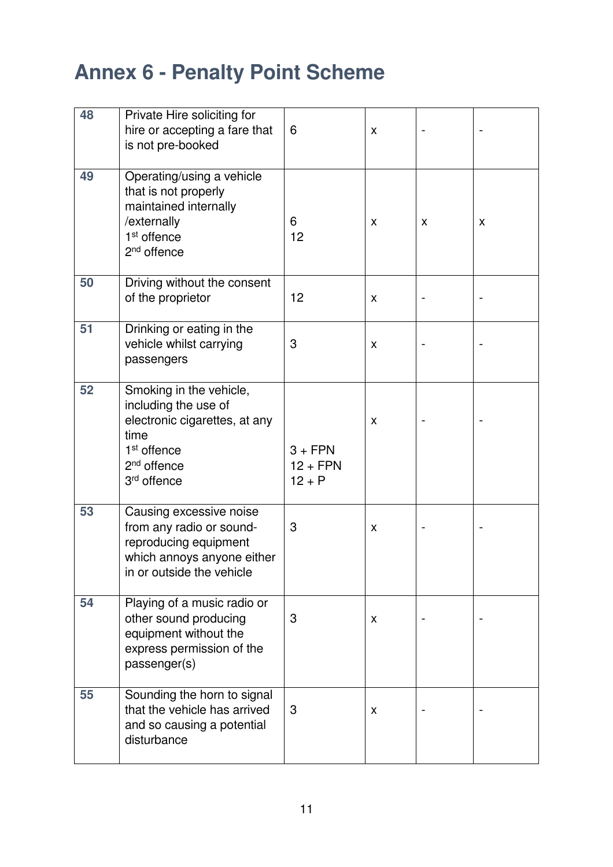| 48 | Private Hire soliciting for<br>hire or accepting a fare that<br>is not pre-booked                                                                                         | 6                                   | X |   |   |
|----|---------------------------------------------------------------------------------------------------------------------------------------------------------------------------|-------------------------------------|---|---|---|
| 49 | Operating/using a vehicle<br>that is not properly<br>maintained internally<br>/externally<br>1 <sup>st</sup> offence<br>$2nd$ offence                                     | 6<br>12                             | X | X | X |
| 50 | Driving without the consent<br>of the proprietor                                                                                                                          | 12                                  | X |   |   |
| 51 | Drinking or eating in the<br>vehicle whilst carrying<br>passengers                                                                                                        | 3                                   | X |   |   |
| 52 | Smoking in the vehicle,<br>including the use of<br>electronic cigarettes, at any<br>time<br>1 <sup>st</sup> offence<br>2 <sup>nd</sup> offence<br>3 <sup>rd</sup> offence | $3 + FPN$<br>$12 + FPN$<br>$12 + P$ | X |   |   |
| 53 | Causing excessive noise<br>from any radio or sound-<br>reproducing equipment<br>which annoys anyone either<br>in or outside the vehicle                                   | 3                                   | X |   |   |
| 54 | Playing of a music radio or<br>other sound producing<br>equipment without the<br>express permission of the<br>passenger(s)                                                | 3                                   | X |   |   |
| 55 | Sounding the horn to signal<br>that the vehicle has arrived<br>and so causing a potential<br>disturbance                                                                  | 3                                   | x |   |   |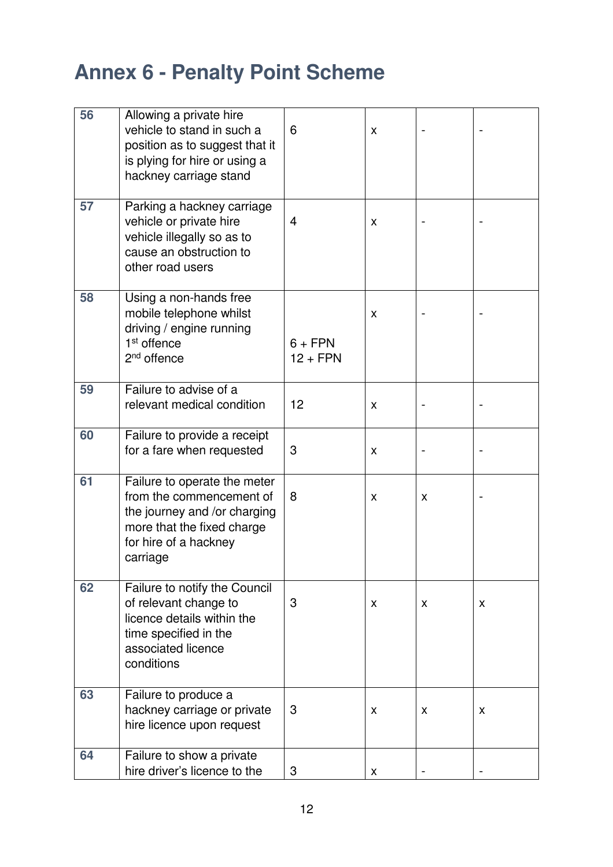| 56 | Allowing a private hire<br>vehicle to stand in such a<br>position as to suggest that it<br>is plying for hire or using a<br>hackney carriage stand          | 6                       | X |   |   |
|----|-------------------------------------------------------------------------------------------------------------------------------------------------------------|-------------------------|---|---|---|
| 57 | Parking a hackney carriage<br>vehicle or private hire<br>vehicle illegally so as to<br>cause an obstruction to<br>other road users                          | 4                       | X |   |   |
| 58 | Using a non-hands free<br>mobile telephone whilst<br>driving / engine running<br>1 <sup>st</sup> offence<br>2 <sup>nd</sup> offence                         | $6 + FPN$<br>$12 + FPN$ | X |   |   |
| 59 | Failure to advise of a<br>relevant medical condition                                                                                                        | 12                      | X |   |   |
| 60 | Failure to provide a receipt<br>for a fare when requested                                                                                                   | 3                       | X |   |   |
| 61 | Failure to operate the meter<br>from the commencement of<br>the journey and /or charging<br>more that the fixed charge<br>for hire of a hackney<br>carriage | 8                       | X | X |   |
| 62 | Failure to notify the Council<br>of relevant change to<br>licence details within the<br>time specified in the<br>associated licence<br>conditions           | 3                       | X | X | X |
| 63 | Failure to produce a<br>hackney carriage or private<br>hire licence upon request                                                                            | 3                       | X | X | X |
| 64 | Failure to show a private<br>hire driver's licence to the                                                                                                   | 3                       | X |   |   |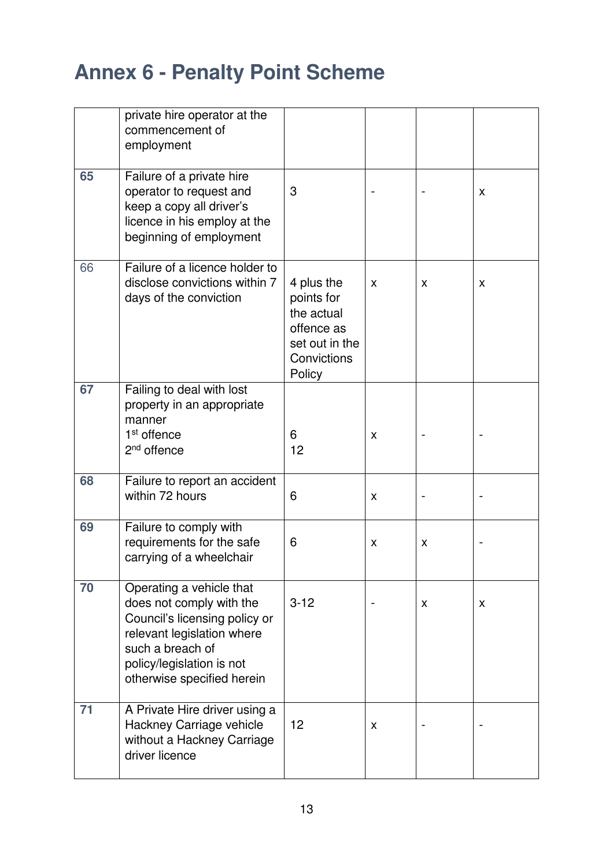|    | private hire operator at the<br>commencement of<br>employment                                                                                                                                      |                                                                                                 |   |   |   |
|----|----------------------------------------------------------------------------------------------------------------------------------------------------------------------------------------------------|-------------------------------------------------------------------------------------------------|---|---|---|
| 65 | Failure of a private hire<br>operator to request and<br>keep a copy all driver's<br>licence in his employ at the<br>beginning of employment                                                        | 3                                                                                               |   |   | X |
| 66 | Failure of a licence holder to<br>disclose convictions within 7<br>days of the conviction                                                                                                          | 4 plus the<br>points for<br>the actual<br>offence as<br>set out in the<br>Convictions<br>Policy | X | X | X |
| 67 | Failing to deal with lost<br>property in an appropriate<br>manner<br>1 <sup>st</sup> offence<br>2 <sup>nd</sup> offence                                                                            | 6<br>12                                                                                         | x |   |   |
| 68 | Failure to report an accident<br>within 72 hours                                                                                                                                                   | 6                                                                                               | X |   |   |
| 69 | Failure to comply with<br>requirements for the safe<br>carrying of a wheelchair                                                                                                                    | 6                                                                                               | X | X |   |
| 70 | Operating a vehicle that<br>does not comply with the<br>Council's licensing policy or<br>relevant legislation where<br>such a breach of<br>policy/legislation is not<br>otherwise specified herein | $3 - 12$                                                                                        |   | X | X |
| 71 | A Private Hire driver using a<br>Hackney Carriage vehicle<br>without a Hackney Carriage<br>driver licence                                                                                          | 12                                                                                              | X |   |   |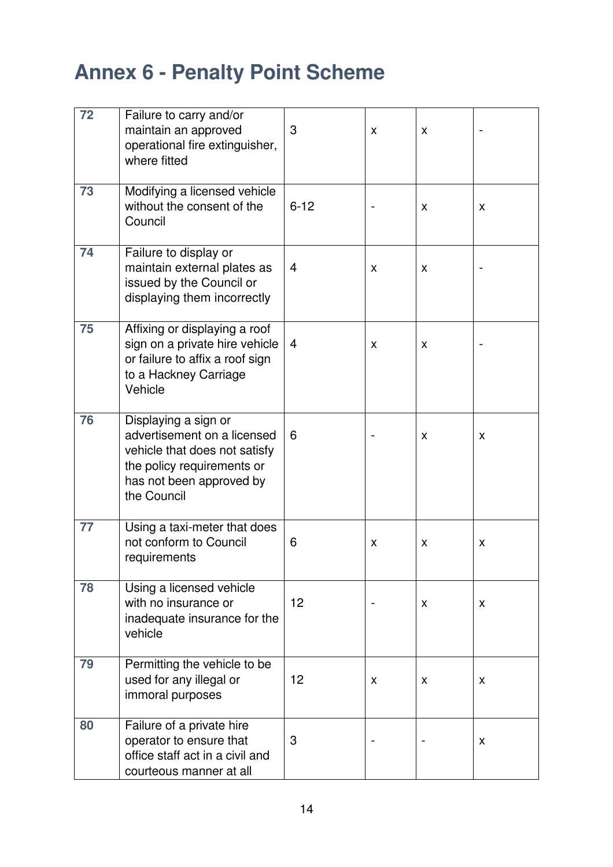| 72 | Failure to carry and/or<br>maintain an approved<br>operational fire extinguisher,<br>where fitted                                                             | 3        | X | X |   |
|----|---------------------------------------------------------------------------------------------------------------------------------------------------------------|----------|---|---|---|
| 73 | Modifying a licensed vehicle<br>without the consent of the<br>Council                                                                                         | $6 - 12$ |   | X | X |
| 74 | Failure to display or<br>maintain external plates as<br>issued by the Council or<br>displaying them incorrectly                                               | 4        | X | X |   |
| 75 | Affixing or displaying a roof<br>sign on a private hire vehicle<br>or failure to affix a roof sign<br>to a Hackney Carriage<br>Vehicle                        | 4        | X | X |   |
| 76 | Displaying a sign or<br>advertisement on a licensed<br>vehicle that does not satisfy<br>the policy requirements or<br>has not been approved by<br>the Council | 6        |   | X | X |
| 77 | Using a taxi-meter that does<br>not conform to Council<br>requirements                                                                                        | 6        | X | X | X |
| 78 | Using a licensed vehicle<br>with no insurance or<br>inadequate insurance for the<br>vehicle                                                                   | 12       |   | X | X |
| 79 | Permitting the vehicle to be<br>used for any illegal or<br>immoral purposes                                                                                   | 12       | X | X | X |
| 80 | Failure of a private hire<br>operator to ensure that<br>office staff act in a civil and<br>courteous manner at all                                            | 3        |   |   | X |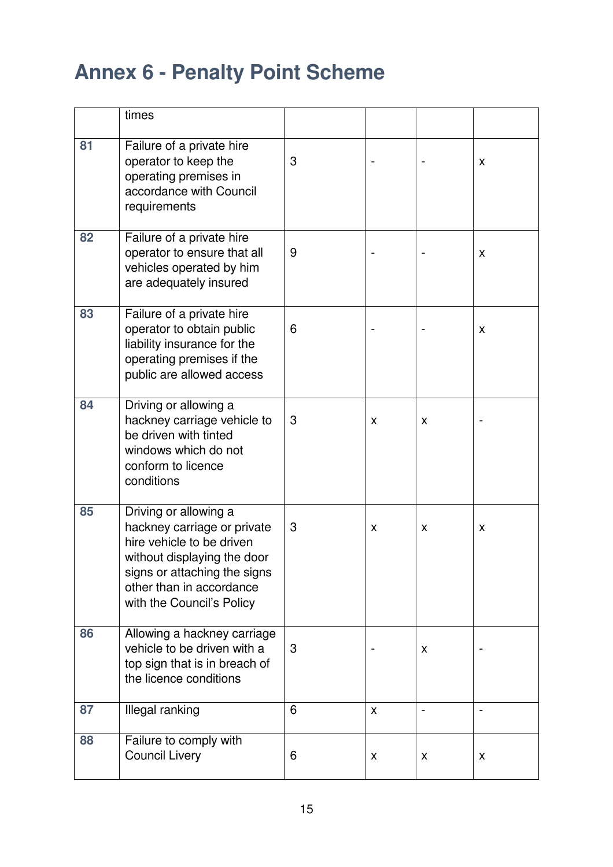|    | times                                                                                                                                                                                                     |   |              |   |   |
|----|-----------------------------------------------------------------------------------------------------------------------------------------------------------------------------------------------------------|---|--------------|---|---|
| 81 | Failure of a private hire<br>operator to keep the<br>operating premises in<br>accordance with Council<br>requirements                                                                                     | 3 |              |   | X |
| 82 | Failure of a private hire<br>operator to ensure that all<br>vehicles operated by him<br>are adequately insured                                                                                            | 9 |              |   | X |
| 83 | Failure of a private hire<br>operator to obtain public<br>liability insurance for the<br>operating premises if the<br>public are allowed access                                                           | 6 |              |   | X |
| 84 | Driving or allowing a<br>hackney carriage vehicle to<br>be driven with tinted<br>windows which do not<br>conform to licence<br>conditions                                                                 | 3 | x            | X |   |
| 85 | Driving or allowing a<br>hackney carriage or private<br>hire vehicle to be driven<br>without displaying the door<br>signs or attaching the signs<br>other than in accordance<br>with the Council's Policy | 3 | x            | X | X |
| 86 | Allowing a hackney carriage<br>vehicle to be driven with a<br>top sign that is in breach of<br>the licence conditions                                                                                     | 3 |              | X |   |
| 87 | Illegal ranking                                                                                                                                                                                           | 6 | $\mathsf{x}$ |   |   |
| 88 | Failure to comply with<br><b>Council Livery</b>                                                                                                                                                           | 6 | X            | X | X |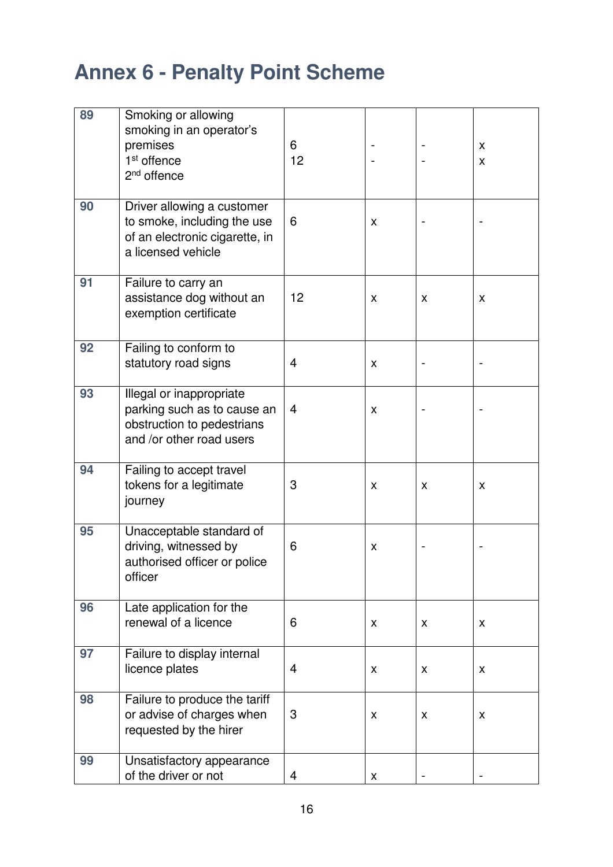| 89 | Smoking or allowing<br>smoking in an operator's                                                                   |         |   |   |        |
|----|-------------------------------------------------------------------------------------------------------------------|---------|---|---|--------|
|    | premises<br>1 <sup>st</sup> offence<br>2 <sup>nd</sup> offence                                                    | 6<br>12 |   |   | X<br>X |
| 90 | Driver allowing a customer<br>to smoke, including the use<br>of an electronic cigarette, in<br>a licensed vehicle | 6       | X |   |        |
| 91 | Failure to carry an<br>assistance dog without an<br>exemption certificate                                         | 12      | X | X | X      |
| 92 | Failing to conform to<br>statutory road signs                                                                     | 4       | X |   |        |
| 93 | Illegal or inappropriate<br>parking such as to cause an<br>obstruction to pedestrians<br>and /or other road users | 4       | X |   |        |
| 94 | Failing to accept travel<br>tokens for a legitimate<br>journey                                                    | 3       | X | X | X      |
| 95 | Unacceptable standard of<br>driving, witnessed by<br>authorised officer or police<br>officer                      | 6       | X |   |        |
| 96 | Late application for the<br>renewal of a licence                                                                  | 6       | X | X | X      |
| 97 | Failure to display internal<br>licence plates                                                                     | 4       | X | X | X      |
| 98 | Failure to produce the tariff<br>or advise of charges when<br>requested by the hirer                              | 3       | X | X | X      |
| 99 | Unsatisfactory appearance<br>of the driver or not                                                                 | 4       | X |   |        |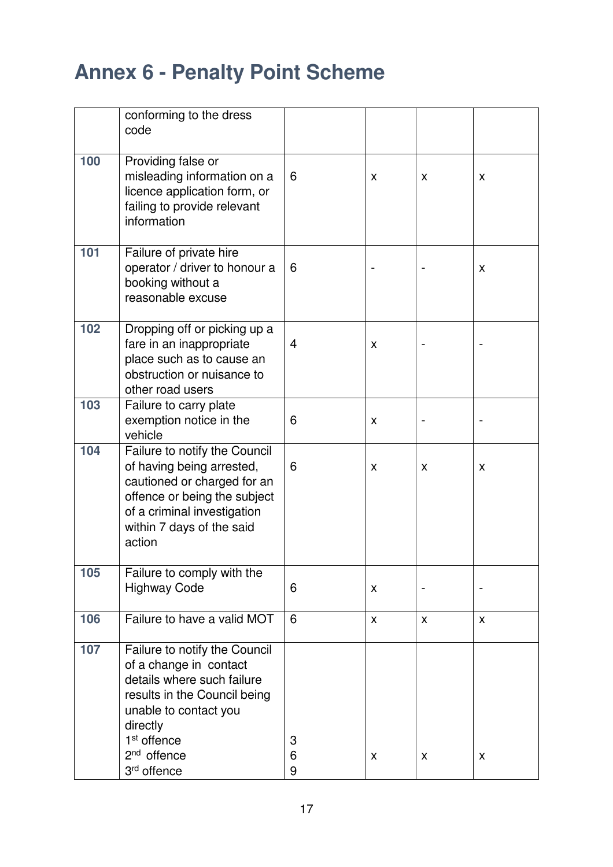|     | conforming to the dress<br>code                                                                                                                                                                                                   |             |                |   |   |
|-----|-----------------------------------------------------------------------------------------------------------------------------------------------------------------------------------------------------------------------------------|-------------|----------------|---|---|
| 100 | Providing false or<br>misleading information on a<br>licence application form, or<br>failing to provide relevant<br>information                                                                                                   | 6           | X              | X | X |
| 101 | Failure of private hire<br>operator / driver to honour a<br>booking without a<br>reasonable excuse                                                                                                                                | 6           |                |   | X |
| 102 | Dropping off or picking up a<br>fare in an inappropriate<br>place such as to cause an<br>obstruction or nuisance to<br>other road users                                                                                           | 4           | X              |   |   |
| 103 | Failure to carry plate<br>exemption notice in the<br>vehicle                                                                                                                                                                      | 6           | X              |   |   |
| 104 | Failure to notify the Council<br>of having being arrested,<br>cautioned or charged for an<br>offence or being the subject<br>of a criminal investigation<br>within 7 days of the said<br>action                                   | 6           | X              | X | X |
| 105 | Failure to comply with the<br><b>Highway Code</b>                                                                                                                                                                                 | 6           | X              |   |   |
| 106 | Failure to have a valid MOT                                                                                                                                                                                                       | 6           | $\pmb{\times}$ | X | X |
| 107 | Failure to notify the Council<br>of a change in contact<br>details where such failure<br>results in the Council being<br>unable to contact you<br>directly<br>1 <sup>st</sup> offence<br>$2nd$ offence<br>3 <sup>rd</sup> offence | 3<br>6<br>9 | X              | X | X |